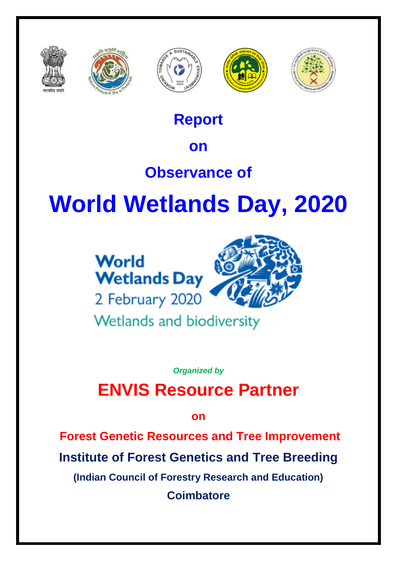









### **Report**

#### **on**

#### **Observance of**

# **World Wetlands Day, 2020**

# **World Wetlands Day** 2 February 2020



Wetlands and biodiversity

*Organized by*

# **ENVIS Resource Partner**

**on**

**Forest Genetic Resources and Tree Improvement Institute of Forest Genetics and Tree Breeding**

**(Indian Council of Forestry Research and Education) Coimbatore**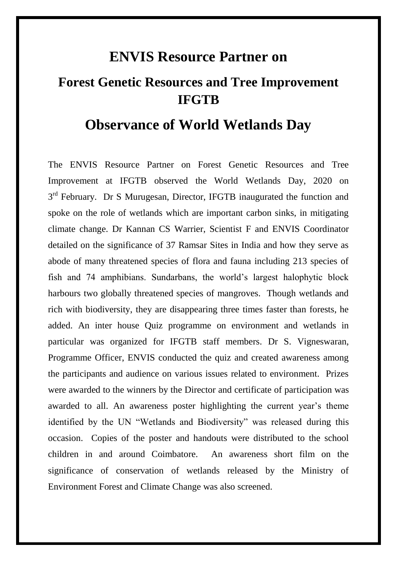## **ENVIS Resource Partner on Forest Genetic Resources and Tree Improvement IFGTB**

#### **Observance of World Wetlands Day**

The ENVIS Resource Partner on Forest Genetic Resources and Tree Improvement at IFGTB observed the World Wetlands Day, 2020 on 3<sup>rd</sup> February. Dr S Murugesan, Director, IFGTB inaugurated the function and spoke on the role of wetlands which are important carbon sinks, in mitigating climate change. Dr Kannan CS Warrier, Scientist F and ENVIS Coordinator detailed on the significance of 37 Ramsar Sites in India and how they serve as abode of many threatened species of flora and fauna including 213 species of fish and 74 amphibians. Sundarbans, the world's largest halophytic block harbours two globally threatened species of mangroves. Though wetlands and rich with biodiversity, they are disappearing three times faster than forests, he added. An inter house Quiz programme on environment and wetlands in particular was organized for IFGTB staff members. Dr S. Vigneswaran, Programme Officer, ENVIS conducted the quiz and created awareness among the participants and audience on various issues related to environment. Prizes were awarded to the winners by the Director and certificate of participation was awarded to all. An awareness poster highlighting the current year's theme identified by the UN "Wetlands and Biodiversity" was released during this occasion. Copies of the poster and handouts were distributed to the school children in and around Coimbatore. An awareness short film on the significance of conservation of wetlands released by the Ministry of Environment Forest and Climate Change was also screened.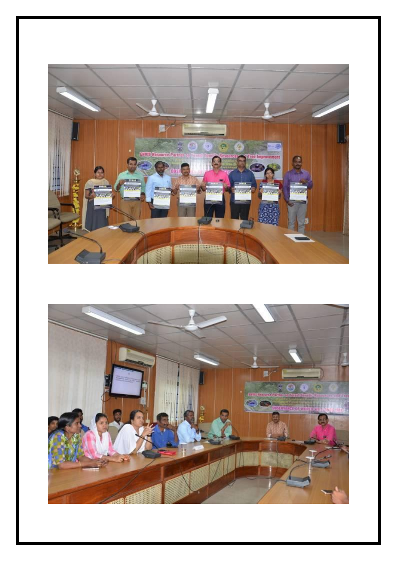

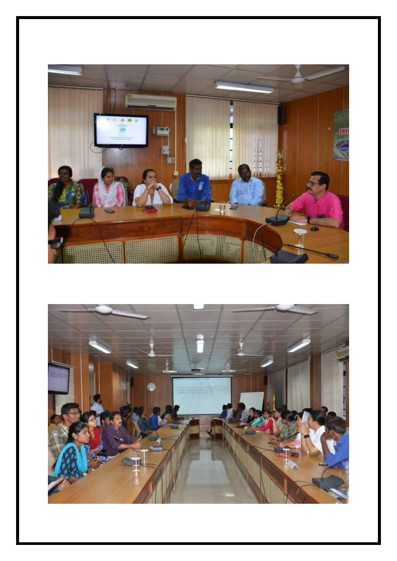

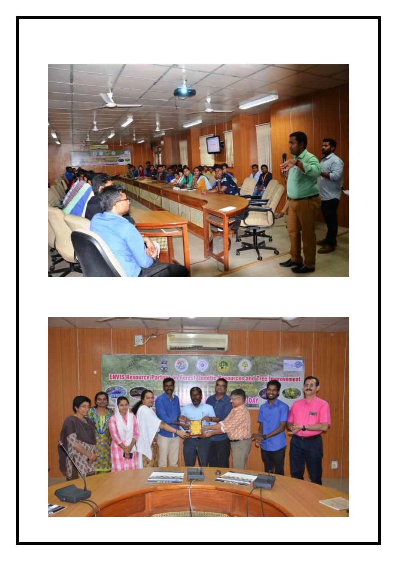

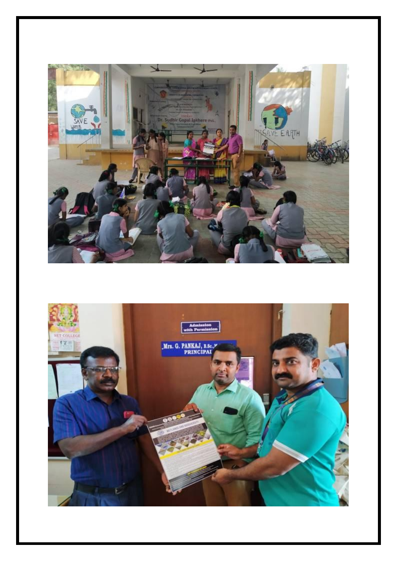

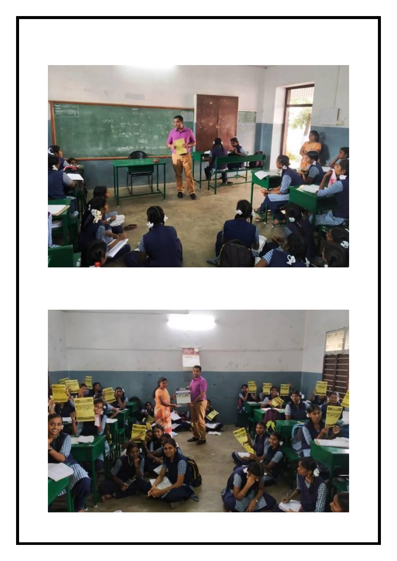